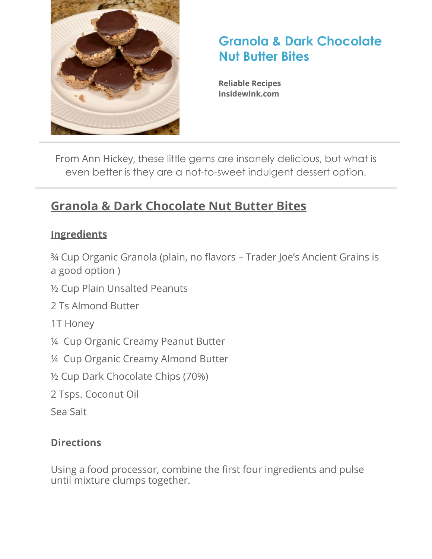

## **Granola & Dark Chocolate Nut Butter Bites**

**Reliable Recipes [insidewink.com](http://insidewink.com)**

From Ann Hickey, these little gems are insanely delicious, but what is even better is they are a not-to-sweet indulgent dessert option.

## **Granola & Dark Chocolate Nut Butter Bites**

#### **Ingredients**

¾ Cup Organic Granola (plain, no flavors – Trader Joe's Ancient Grains is a good option )

½ Cup Plain Unsalted Peanuts

2 Ts Almond Butter

1T Honey

¼ Cup Organic Creamy Peanut Butter

¼ Cup Organic Creamy Almond Butter

½ Cup Dark Chocolate Chips (70%)

2 Tsps. Coconut Oil

Sea Salt

### **Directions**

Using a food processor, combine the first four ingredients and pulse until mixture clumps together.